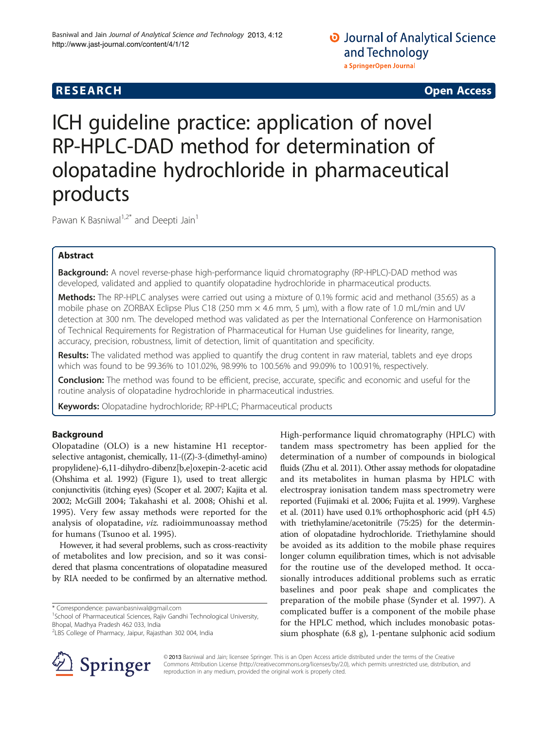# **RESEARCH RESEARCH CONSUMING ACCESS**

# ICH guideline practice: application of novel RP-HPLC-DAD method for determination of olopatadine hydrochloride in pharmaceutical products

Pawan K Basniwal<sup>1,2\*</sup> and Deepti Jain<sup>1</sup>

# Abstract

**Background:** A novel reverse-phase high-performance liquid chromatography (RP-HPLC)-DAD method was developed, validated and applied to quantify olopatadine hydrochloride in pharmaceutical products.

Methods: The RP-HPLC analyses were carried out using a mixture of 0.1% formic acid and methanol (35:65) as a mobile phase on ZORBAX Eclipse Plus C18 (250 mm  $\times$  4.6 mm, 5 µm), with a flow rate of 1.0 mL/min and UV detection at 300 nm. The developed method was validated as per the International Conference on Harmonisation of Technical Requirements for Registration of Pharmaceutical for Human Use guidelines for linearity, range, accuracy, precision, robustness, limit of detection, limit of quantitation and specificity.

Results: The validated method was applied to quantify the drug content in raw material, tablets and eye drops which was found to be 99.36% to 101.02%, 98.99% to 100.56% and 99.09% to 100.91%, respectively.

Conclusion: The method was found to be efficient, precise, accurate, specific and economic and useful for the routine analysis of olopatadine hydrochloride in pharmaceutical industries.

Keywords: Olopatadine hydrochloride; RP-HPLC; Pharmaceutical products

# Background

Olopatadine (OLO) is a new histamine H1 receptorselective antagonist, chemically, 11-((Z)-3-(dimethyl-amino) propylidene)-6,11-dihydro-dibenz[b,e]oxepin-2-acetic acid (Ohshima et al. [1992\)](#page-5-0) (Figure [1](#page-1-0)), used to treat allergic conjunctivitis (itching eyes) (Scoper et al. [2007;](#page-5-0) Kajita et al. [2002;](#page-5-0) McGill [2004;](#page-5-0) Takahashi et al. [2008;](#page-5-0) Ohishi et al. [1995\)](#page-5-0). Very few assay methods were reported for the analysis of olopatadine, viz. radioimmunoassay method for humans (Tsunoo et al. [1995](#page-5-0)).

However, it had several problems, such as cross-reactivity of metabolites and low precision, and so it was considered that plasma concentrations of olopatadine measured by RIA needed to be confirmed by an alternative method.

\* Correspondence: [pawanbasniwal@gmail.com](mailto:pawanbasniwal@gmail.com) <sup>1</sup>



High-performance liquid chromatography (HPLC) with tandem mass spectrometry has been applied for the



© 2013 Basniwal and Jain; licensee Springer. This is an Open Access article distributed under the terms of the Creative Commons Attribution License (<http://creativecommons.org/licenses/by/2.0>), which permits unrestricted use, distribution, and reproduction in any medium, provided the original work is properly cited.

<sup>&</sup>lt;sup>1</sup>School of Pharmaceutical Sciences, Rajiv Gandhi Technological University, Bhopal, Madhya Pradesh 462 033, India

<sup>2</sup> LBS College of Pharmacy, Jaipur, Rajasthan 302 004, India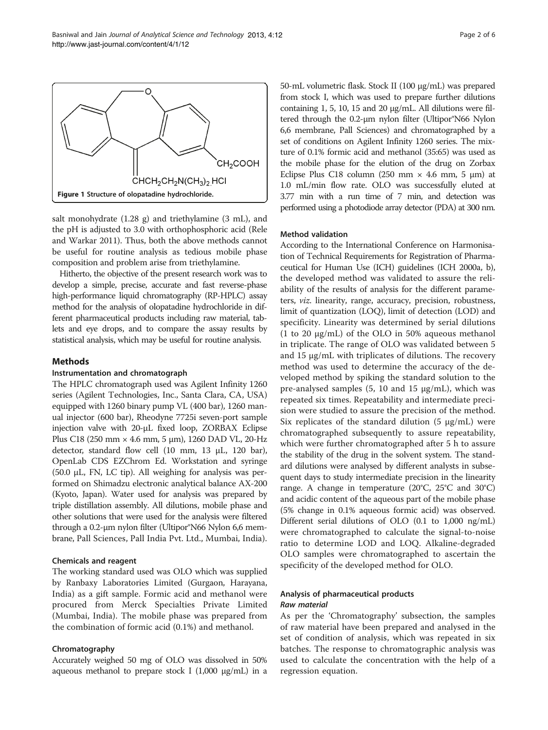<span id="page-1-0"></span>

Figure 1 Structure of olopatadine hydrochloride.

salt monohydrate (1.28 g) and triethylamine (3 mL), and the pH is adjusted to 3.0 with orthophosphoric acid (Rele and Warkar [2011\)](#page-5-0). Thus, both the above methods cannot be useful for routine analysis as tedious mobile phase composition and problem arise from triethylamine.

Hitherto, the objective of the present research work was to develop a simple, precise, accurate and fast reverse-phase high-performance liquid chromatography (RP-HPLC) assay method for the analysis of olopatadine hydrochloride in different pharmaceutical products including raw material, tablets and eye drops, and to compare the assay results by statistical analysis, which may be useful for routine analysis.

# **Methods**

# Instrumentation and chromatograph

The HPLC chromatograph used was Agilent Infinity 1260 series (Agilent Technologies, Inc., Santa Clara, CA, USA) equipped with 1260 binary pump VL (400 bar), 1260 manual injector (600 bar), Rheodyne 7725i seven-port sample injection valve with 20-μL fixed loop, ZORBAX Eclipse Plus C18 (250 mm × 4.6 mm, 5 μm), 1260 DAD VL, 20-Hz detector, standard flow cell (10 mm, 13 μL, 120 bar), OpenLab CDS EZChrom Ed. Workstation and syringe (50.0  $\mu$ L, FN, LC tip). All weighing for analysis was performed on Shimadzu electronic analytical balance AX-200 (Kyoto, Japan). Water used for analysis was prepared by triple distillation assembly. All dilutions, mobile phase and other solutions that were used for the analysis were filtered through a 0.2-μm nylon filter (Ultipor®N66 Nylon 6,6 membrane, Pall Sciences, Pall India Pvt. Ltd., Mumbai, India).

# Chemicals and reagent

The working standard used was OLO which was supplied by Ranbaxy Laboratories Limited (Gurgaon, Harayana, India) as a gift sample. Formic acid and methanol were procured from Merck Specialties Private Limited (Mumbai, India). The mobile phase was prepared from the combination of formic acid (0.1%) and methanol.

# Chromatography

Accurately weighed 50 mg of OLO was dissolved in 50% aqueous methanol to prepare stock I  $(1,000 \text{ µg/mL})$  in a 50-mL volumetric flask. Stock II (100 μg/mL) was prepared from stock I, which was used to prepare further dilutions containing 1, 5, 10, 15 and 20 μg/mL. All dilutions were filtered through the 0.2-μm nylon filter (Ultipor®N66 Nylon 6,6 membrane, Pall Sciences) and chromatographed by a set of conditions on Agilent Infinity 1260 series. The mixture of 0.1% formic acid and methanol (35:65) was used as the mobile phase for the elution of the drug on Zorbax Eclipse Plus C18 column (250 mm  $\times$  4.6 mm, 5 µm) at 1.0 mL/min flow rate. OLO was successfully eluted at 3.77 min with a run time of 7 min, and detection was performed using a photodiode array detector (PDA) at 300 nm.

# Method validation

According to the International Conference on Harmonisation of Technical Requirements for Registration of Pharmaceutical for Human Use (ICH) guidelines (ICH [2000a](#page-5-0), [b](#page-5-0)), the developed method was validated to assure the reliability of the results of analysis for the different parameters, viz. linearity, range, accuracy, precision, robustness, limit of quantization (LOQ), limit of detection (LOD) and specificity. Linearity was determined by serial dilutions (1 to 20 μg/mL) of the OLO in 50% aqueous methanol in triplicate. The range of OLO was validated between 5 and 15 μg/mL with triplicates of dilutions. The recovery method was used to determine the accuracy of the developed method by spiking the standard solution to the pre-analysed samples  $(5, 10 \text{ and } 15 \text{ µg/mL})$ , which was repeated six times. Repeatability and intermediate precision were studied to assure the precision of the method. Six replicates of the standard dilution  $(5 \mu g/mL)$  were chromatographed subsequently to assure repeatability, which were further chromatographed after 5 h to assure the stability of the drug in the solvent system. The standard dilutions were analysed by different analysts in subsequent days to study intermediate precision in the linearity range. A change in temperature (20°C, 25°C and 30°C) and acidic content of the aqueous part of the mobile phase (5% change in 0.1% aqueous formic acid) was observed. Different serial dilutions of OLO (0.1 to 1,000 ng/mL) were chromatographed to calculate the signal-to-noise ratio to determine LOD and LOQ. Alkaline-degraded OLO samples were chromatographed to ascertain the specificity of the developed method for OLO.

# Analysis of pharmaceutical products Raw material

As per the 'Chromatography' subsection, the samples of raw material have been prepared and analysed in the set of condition of analysis, which was repeated in six batches. The response to chromatographic analysis was used to calculate the concentration with the help of a regression equation.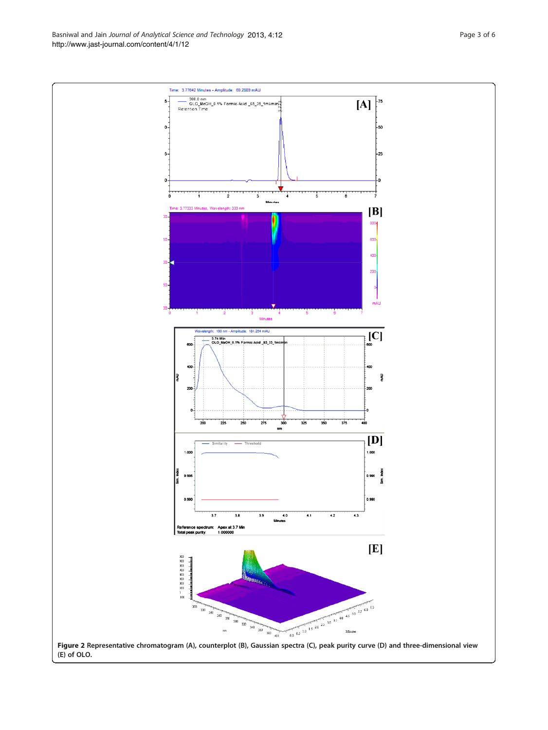<span id="page-2-0"></span>Basniwal and Jain Journal of Analytical Science and Technology 2013, 4:12 Page 3 of 6 <http://www.jast-journal.com/content/4/1/12>

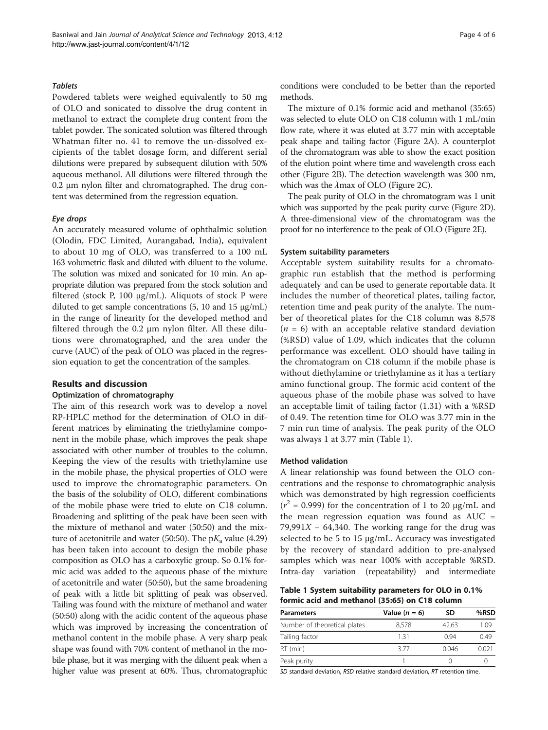# **Tablets**

Powdered tablets were weighed equivalently to 50 mg of OLO and sonicated to dissolve the drug content in methanol to extract the complete drug content from the tablet powder. The sonicated solution was filtered through Whatman filter no. 41 to remove the un-dissolved excipients of the tablet dosage form, and different serial dilutions were prepared by subsequent dilution with 50% aqueous methanol. All dilutions were filtered through the 0.2 μm nylon filter and chromatographed. The drug content was determined from the regression equation.

# Eye drops

An accurately measured volume of ophthalmic solution (Olodin, FDC Limited, Aurangabad, India), equivalent to about 10 mg of OLO, was transferred to a 100 mL 163 volumetric flask and diluted with diluent to the volume. The solution was mixed and sonicated for 10 min. An appropriate dilution was prepared from the stock solution and filtered (stock P, 100 μg/mL). Aliquots of stock P were diluted to get sample concentrations  $(5, 10 \text{ and } 15 \text{ µg/mL})$ in the range of linearity for the developed method and filtered through the 0.2 μm nylon filter. All these dilutions were chromatographed, and the area under the curve (AUC) of the peak of OLO was placed in the regression equation to get the concentration of the samples.

### Results and discussion

# Optimization of chromatography

The aim of this research work was to develop a novel RP-HPLC method for the determination of OLO in different matrices by eliminating the triethylamine component in the mobile phase, which improves the peak shape associated with other number of troubles to the column. Keeping the view of the results with triethylamine use in the mobile phase, the physical properties of OLO were used to improve the chromatographic parameters. On the basis of the solubility of OLO, different combinations of the mobile phase were tried to elute on C18 column. Broadening and splitting of the peak have been seen with the mixture of methanol and water (50:50) and the mixture of acetonitrile and water (50:50). The  $pK_a$  value (4.29) has been taken into account to design the mobile phase composition as OLO has a carboxylic group. So 0.1% formic acid was added to the aqueous phase of the mixture of acetonitrile and water (50:50), but the same broadening of peak with a little bit splitting of peak was observed. Tailing was found with the mixture of methanol and water (50:50) along with the acidic content of the aqueous phase which was improved by increasing the concentration of methanol content in the mobile phase. A very sharp peak shape was found with 70% content of methanol in the mobile phase, but it was merging with the diluent peak when a higher value was present at 60%. Thus, chromatographic conditions were concluded to be better than the reported methods.

The mixture of 0.1% formic acid and methanol (35:65) was selected to elute OLO on C18 column with 1 mL/min flow rate, where it was eluted at 3.77 min with acceptable peak shape and tailing factor (Figure [2](#page-2-0)A). A counterplot of the chromatogram was able to show the exact position of the elution point where time and wavelength cross each other (Figure [2B](#page-2-0)). The detection wavelength was 300 nm, which was the  $\lambda$ max of OLO (Figure [2](#page-2-0)C).

The peak purity of OLO in the chromatogram was 1 unit which was supported by the peak purity curve (Figure [2D](#page-2-0)). A three-dimensional view of the chromatogram was the proof for no interference to the peak of OLO (Figure [2E](#page-2-0)).

#### System suitability parameters

Acceptable system suitability results for a chromatographic run establish that the method is performing adequately and can be used to generate reportable data. It includes the number of theoretical plates, tailing factor, retention time and peak purity of the analyte. The number of theoretical plates for the C18 column was 8,578  $(n = 6)$  with an acceptable relative standard deviation (%RSD) value of 1.09, which indicates that the column performance was excellent. OLO should have tailing in the chromatogram on C18 column if the mobile phase is without diethylamine or triethylamine as it has a tertiary amino functional group. The formic acid content of the aqueous phase of the mobile phase was solved to have an acceptable limit of tailing factor (1.31) with a %RSD of 0.49. The retention time for OLO was 3.77 min in the 7 min run time of analysis. The peak purity of the OLO was always 1 at 3.77 min (Table 1).

#### Method validation

A linear relationship was found between the OLO concentrations and the response to chromatographic analysis which was demonstrated by high regression coefficients ( $r^2$  = 0.999) for the concentration of 1 to 20 µg/mL and the mean regression equation was found as  $AUC =$ 79,991 $X$  – 64,340. The working range for the drug was selected to be 5 to 15 μg/mL. Accuracy was investigated by the recovery of standard addition to pre-analysed samples which was near 100% with acceptable %RSD. Intra-day variation (repeatability) and intermediate

Table 1 System suitability parameters for OLO in 0.1% formic acid and methanol (35:65) on C18 column

| <b>Parameters</b>            | Value $(n = 6)$ | SD    | %RSD |  |
|------------------------------|-----------------|-------|------|--|
| Number of theoretical plates | 8.578           | 42.63 | 1 N9 |  |
| Tailing factor               | 131             | O 94  | 049  |  |
| RT (min)                     | 377             | 0046  | 0021 |  |
| Peak purity                  |                 |       |      |  |

SD standard deviation, RSD relative standard deviation, RT retention time.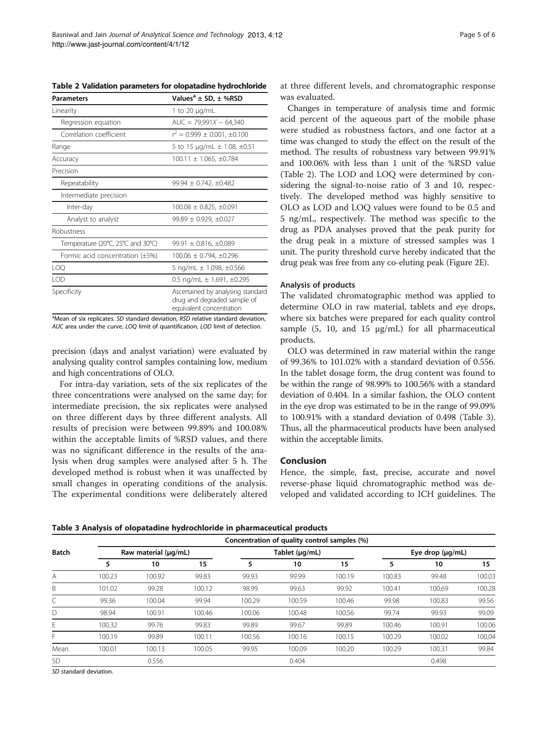Table 2 Validation parameters for olopatadine hydrochloride

| <b>Parameters</b>                     | Values <sup>a</sup> $\pm$ SD, $\pm$ %RSD                                                     |  |  |  |  |
|---------------------------------------|----------------------------------------------------------------------------------------------|--|--|--|--|
| Linearity                             | 1 to 20 $\mu$ g/mL                                                                           |  |  |  |  |
| Regression equation                   | $AUC = 79,991X - 64,340$                                                                     |  |  |  |  |
| Correlation coefficient               | $r' = 0.999 \pm 0.001$ , $\pm 0.100$                                                         |  |  |  |  |
| Range                                 | 5 to 15 $\mu$ g/mL $\pm$ 1.08, $\pm$ 0.51                                                    |  |  |  |  |
| Accuracy                              | $100.11 \pm 1.065, \pm 0.784$                                                                |  |  |  |  |
| Precision                             |                                                                                              |  |  |  |  |
| Repeatability                         | $99.94 \pm 0.742$ . $\pm 0.482$                                                              |  |  |  |  |
| Intermediate precision                |                                                                                              |  |  |  |  |
| Inter-day                             | $100.08 \pm 0.825, \pm 0.091$                                                                |  |  |  |  |
| Analyst to analyst                    | $99.89 \pm 0.929$ , $\pm 0.027$                                                              |  |  |  |  |
| Robustness                            |                                                                                              |  |  |  |  |
| Temperature (20°C, 25°C and 30°C)     | $99.91 \pm 0.816, \pm 0.089$                                                                 |  |  |  |  |
| Formic acid concentration $(\pm 5\%)$ | $100.06 \pm 0.794$ , $\pm 0.296$                                                             |  |  |  |  |
| LOQ                                   | 5 ng/mL $\pm$ 1.098, $\pm$ 0.566                                                             |  |  |  |  |
| LOD                                   | 0.5 ng/mL $\pm$ 1.691, $\pm$ 0.295                                                           |  |  |  |  |
| Specificity                           | Ascertained by analysing standard<br>drug and degraded sample of<br>equivalent concentration |  |  |  |  |

<sup>a</sup>Mean of six replicates. SD standard deviation, RSD relative standard deviation, AUC area under the curve, LOQ limit of quantification, LOD limit of detection.

precision (days and analyst variation) were evaluated by analysing quality control samples containing low, medium and high concentrations of OLO.

For intra-day variation, sets of the six replicates of the three concentrations were analysed on the same day; for intermediate precision, the six replicates were analysed on three different days by three different analysts. All results of precision were between 99.89% and 100.08% within the acceptable limits of %RSD values, and there was no significant difference in the results of the analysis when drug samples were analysed after 5 h. The developed method is robust when it was unaffected by small changes in operating conditions of the analysis. The experimental conditions were deliberately altered

at three different levels, and chromatographic response was evaluated.

Changes in temperature of analysis time and formic acid percent of the aqueous part of the mobile phase were studied as robustness factors, and one factor at a time was changed to study the effect on the result of the method. The results of robustness vary between 99.91% and 100.06% with less than 1 unit of the %RSD value (Table 2). The LOD and LOQ were determined by considering the signal-to-noise ratio of 3 and 10, respectively. The developed method was highly sensitive to OLO as LOD and LOQ values were found to be 0.5 and 5 ng/mL, respectively. The method was specific to the drug as PDA analyses proved that the peak purity for the drug peak in a mixture of stressed samples was 1 unit. The purity threshold curve hereby indicated that the drug peak was free from any co-eluting peak (Figure [2E](#page-2-0)).

#### Analysis of products

The validated chromatographic method was applied to determine OLO in raw material, tablets and eye drops, where six batches were prepared for each quality control sample  $(5, 10, \text{ and } 15 \text{ µg/mL})$  for all pharmaceutical products.

OLO was determined in raw material within the range of 99.36% to 101.02% with a standard deviation of 0.556. In the tablet dosage form, the drug content was found to be within the range of 98.99% to 100.56% with a standard deviation of 0.404. In a similar fashion, the OLO content in the eye drop was estimated to be in the range of 99.09% to 100.91% with a standard deviation of 0.498 (Table 3). Thus, all the pharmaceutical products have been analysed within the acceptable limits.

# Conclusion

Hence, the simple, fast, precise, accurate and novel reverse-phase liquid chromatographic method was developed and validated according to ICH guidelines. The

Table 3 Analysis of olopatadine hydrochloride in pharmaceutical products

| <b>Batch</b> | Concentration of quality control samples (%) |        |        |                |        |        |                       |        |        |  |
|--------------|----------------------------------------------|--------|--------|----------------|--------|--------|-----------------------|--------|--------|--|
|              | Raw material (µg/mL)                         |        |        | Tablet (µg/mL) |        |        | Eye drop $(\mu g/mL)$ |        |        |  |
|              | 5                                            | 10     | 15     | 5              | 10     | 15     | 5                     | 10     | 15     |  |
| Α            | 100.23                                       | 100.92 | 99.83  | 99.93          | 99.99  | 100.19 | 100.83                | 99.48  | 100.03 |  |
| B            | 101.02                                       | 99.28  | 100.12 | 98.99          | 99.63  | 99.92  | 100.41                | 100.69 | 100.28 |  |
|              | 99.36                                        | 100.04 | 99.94  | 100.29         | 100.59 | 100.46 | 99.98                 | 100.83 | 99.56  |  |
| D            | 98.94                                        | 100.91 | 100.46 | 100.06         | 100.48 | 100.56 | 99.74                 | 99.93  | 99.09  |  |
| E            | 100.32                                       | 99.76  | 99.83  | 99.89          | 99.67  | 99.89  | 100.46                | 100.91 | 100.06 |  |
| F            | 100.19                                       | 99.89  | 100.11 | 100.56         | 100.16 | 100.15 | 100.29                | 100.02 | 100.04 |  |
| Mean         | 100.01                                       | 100.13 | 100.05 | 99.95          | 100.09 | 100.20 | 100.29                | 100.31 | 99.84  |  |
| SD           |                                              | 0.556  |        |                | 0.404  |        |                       | 0.498  |        |  |

SD standard deviation.